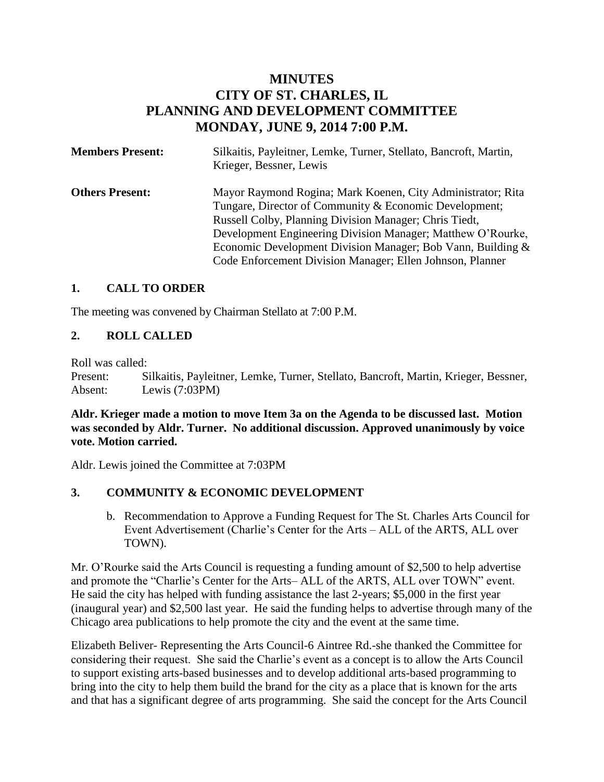# **MINUTES CITY OF ST. CHARLES, IL PLANNING AND DEVELOPMENT COMMITTEE MONDAY, JUNE 9, 2014 7:00 P.M.**

| <b>Members Present:</b> | Silkaitis, Payleitner, Lemke, Turner, Stellato, Bancroft, Martin,<br>Krieger, Bessner, Lewis                                                                                                                                                                                                                                                                               |
|-------------------------|----------------------------------------------------------------------------------------------------------------------------------------------------------------------------------------------------------------------------------------------------------------------------------------------------------------------------------------------------------------------------|
| <b>Others Present:</b>  | Mayor Raymond Rogina; Mark Koenen, City Administrator; Rita<br>Tungare, Director of Community & Economic Development;<br>Russell Colby, Planning Division Manager; Chris Tiedt,<br>Development Engineering Division Manager; Matthew O'Rourke,<br>Economic Development Division Manager; Bob Vann, Building &<br>Code Enforcement Division Manager; Ellen Johnson, Planner |

## **1. CALL TO ORDER**

The meeting was convened by Chairman Stellato at 7:00 P.M.

## **2. ROLL CALLED**

Roll was called:

Present: Silkaitis, Payleitner, Lemke, Turner, Stellato, Bancroft, Martin, Krieger, Bessner, Absent: Lewis (7:03PM)

**Aldr. Krieger made a motion to move Item 3a on the Agenda to be discussed last. Motion was seconded by Aldr. Turner. No additional discussion. Approved unanimously by voice vote. Motion carried.** 

Aldr. Lewis joined the Committee at 7:03PM

#### **3. COMMUNITY & ECONOMIC DEVELOPMENT**

b. Recommendation to Approve a Funding Request for The St. Charles Arts Council for Event Advertisement (Charlie's Center for the Arts – ALL of the ARTS, ALL over TOWN).

Mr. O'Rourke said the Arts Council is requesting a funding amount of \$2,500 to help advertise and promote the "Charlie's Center for the Arts– ALL of the ARTS, ALL over TOWN" event. He said the city has helped with funding assistance the last 2-years; \$5,000 in the first year (inaugural year) and \$2,500 last year. He said the funding helps to advertise through many of the Chicago area publications to help promote the city and the event at the same time.

Elizabeth Beliver- Representing the Arts Council-6 Aintree Rd.-she thanked the Committee for considering their request. She said the Charlie's event as a concept is to allow the Arts Council to support existing arts-based businesses and to develop additional arts-based programming to bring into the city to help them build the brand for the city as a place that is known for the arts and that has a significant degree of arts programming. She said the concept for the Arts Council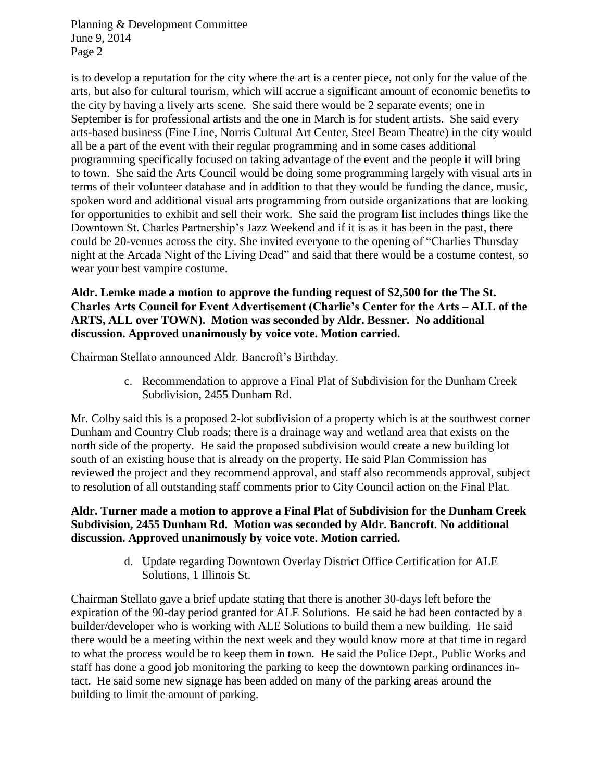is to develop a reputation for the city where the art is a center piece, not only for the value of the arts, but also for cultural tourism, which will accrue a significant amount of economic benefits to the city by having a lively arts scene. She said there would be 2 separate events; one in September is for professional artists and the one in March is for student artists. She said every arts-based business (Fine Line, Norris Cultural Art Center, Steel Beam Theatre) in the city would all be a part of the event with their regular programming and in some cases additional programming specifically focused on taking advantage of the event and the people it will bring to town. She said the Arts Council would be doing some programming largely with visual arts in terms of their volunteer database and in addition to that they would be funding the dance, music, spoken word and additional visual arts programming from outside organizations that are looking for opportunities to exhibit and sell their work. She said the program list includes things like the Downtown St. Charles Partnership's Jazz Weekend and if it is as it has been in the past, there could be 20-venues across the city. She invited everyone to the opening of "Charlies Thursday night at the Arcada Night of the Living Dead" and said that there would be a costume contest, so wear your best vampire costume.

## **Aldr. Lemke made a motion to approve the funding request of \$2,500 for the The St. Charles Arts Council for Event Advertisement (Charlie's Center for the Arts – ALL of the ARTS, ALL over TOWN). Motion was seconded by Aldr. Bessner. No additional discussion. Approved unanimously by voice vote. Motion carried.**

Chairman Stellato announced Aldr. Bancroft's Birthday.

c. Recommendation to approve a Final Plat of Subdivision for the Dunham Creek Subdivision, 2455 Dunham Rd.

Mr. Colby said this is a proposed 2-lot subdivision of a property which is at the southwest corner Dunham and Country Club roads; there is a drainage way and wetland area that exists on the north side of the property. He said the proposed subdivision would create a new building lot south of an existing house that is already on the property. He said Plan Commission has reviewed the project and they recommend approval, and staff also recommends approval, subject to resolution of all outstanding staff comments prior to City Council action on the Final Plat.

## **Aldr. Turner made a motion to approve a Final Plat of Subdivision for the Dunham Creek Subdivision, 2455 Dunham Rd. Motion was seconded by Aldr. Bancroft. No additional discussion. Approved unanimously by voice vote. Motion carried.**

d. Update regarding Downtown Overlay District Office Certification for ALE Solutions, 1 Illinois St.

Chairman Stellato gave a brief update stating that there is another 30-days left before the expiration of the 90-day period granted for ALE Solutions. He said he had been contacted by a builder/developer who is working with ALE Solutions to build them a new building. He said there would be a meeting within the next week and they would know more at that time in regard to what the process would be to keep them in town. He said the Police Dept., Public Works and staff has done a good job monitoring the parking to keep the downtown parking ordinances intact. He said some new signage has been added on many of the parking areas around the building to limit the amount of parking.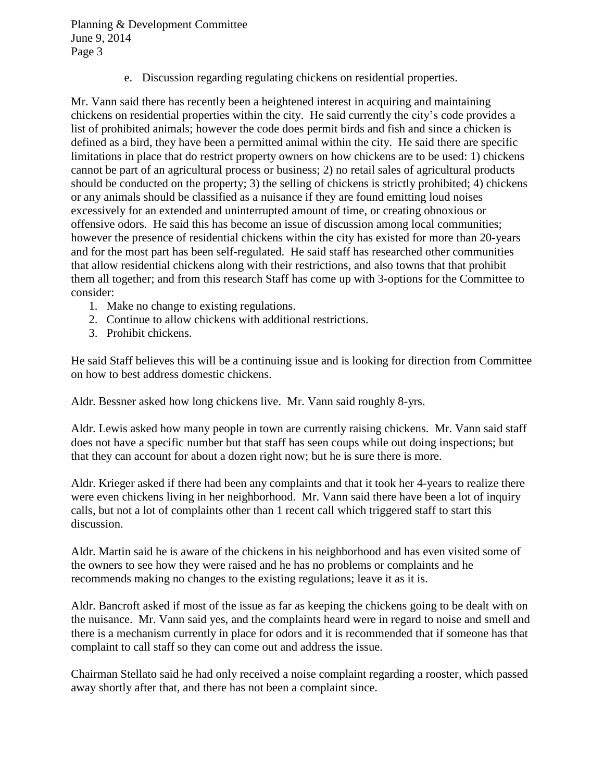e. Discussion regarding regulating chickens on residential properties.

Mr. Vann said there has recently been a heightened interest in acquiring and maintaining chickens on residential properties within the city. He said currently the city's code provides a list of prohibited animals; however the code does permit birds and fish and since a chicken is defined as a bird, they have been a permitted animal within the city. He said there are specific limitations in place that do restrict property owners on how chickens are to be used: 1) chickens cannot be part of an agricultural process or business; 2) no retail sales of agricultural products should be conducted on the property; 3) the selling of chickens is strictly prohibited; 4) chickens or any animals should be classified as a nuisance if they are found emitting loud noises excessively for an extended and uninterrupted amount of time, or creating obnoxious or offensive odors. He said this has become an issue of discussion among local communities; however the presence of residential chickens within the city has existed for more than 20-years and for the most part has been self-regulated. He said staff has researched other communities that allow residential chickens along with their restrictions, and also towns that that prohibit them all together; and from this research Staff has come up with 3-options for the Committee to consider:

- 1. Make no change to existing regulations.
- 2. Continue to allow chickens with additional restrictions.
- 3. Prohibit chickens.

He said Staff believes this will be a continuing issue and is looking for direction from Committee on how to best address domestic chickens.

Aldr. Bessner asked how long chickens live. Mr. Vann said roughly 8-yrs.

Aldr. Lewis asked how many people in town are currently raising chickens. Mr. Vann said staff does not have a specific number but that staff has seen coups while out doing inspections; but that they can account for about a dozen right now; but he is sure there is more.

Aldr. Krieger asked if there had been any complaints and that it took her 4-years to realize there were even chickens living in her neighborhood. Mr. Vann said there have been a lot of inquiry calls, but not a lot of complaints other than 1 recent call which triggered staff to start this discussion.

Aldr. Martin said he is aware of the chickens in his neighborhood and has even visited some of the owners to see how they were raised and he has no problems or complaints and he recommends making no changes to the existing regulations; leave it as it is.

Aldr. Bancroft asked if most of the issue as far as keeping the chickens going to be dealt with on the nuisance. Mr. Vann said yes, and the complaints heard were in regard to noise and smell and there is a mechanism currently in place for odors and it is recommended that if someone has that complaint to call staff so they can come out and address the issue.

Chairman Stellato said he had only received a noise complaint regarding a rooster, which passed away shortly after that, and there has not been a complaint since.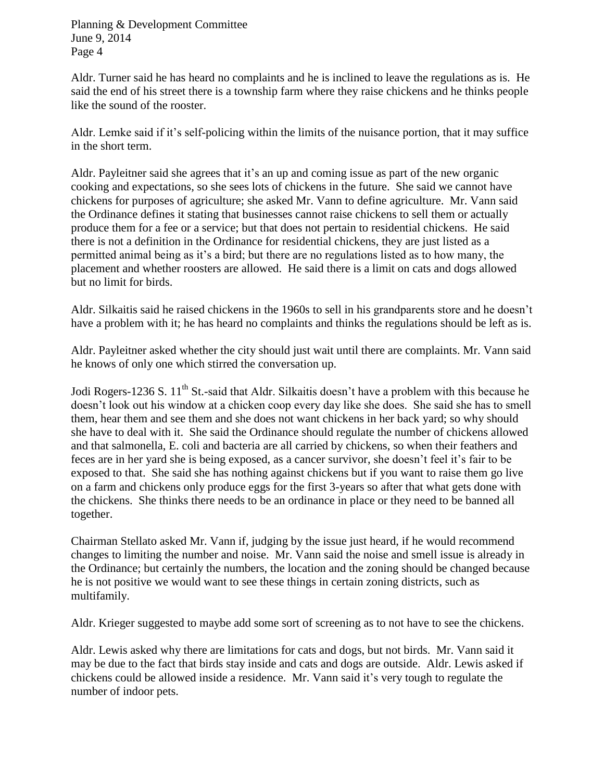Aldr. Turner said he has heard no complaints and he is inclined to leave the regulations as is. He said the end of his street there is a township farm where they raise chickens and he thinks people like the sound of the rooster.

Aldr. Lemke said if it's self-policing within the limits of the nuisance portion, that it may suffice in the short term.

Aldr. Payleitner said she agrees that it's an up and coming issue as part of the new organic cooking and expectations, so she sees lots of chickens in the future. She said we cannot have chickens for purposes of agriculture; she asked Mr. Vann to define agriculture. Mr. Vann said the Ordinance defines it stating that businesses cannot raise chickens to sell them or actually produce them for a fee or a service; but that does not pertain to residential chickens. He said there is not a definition in the Ordinance for residential chickens, they are just listed as a permitted animal being as it's a bird; but there are no regulations listed as to how many, the placement and whether roosters are allowed. He said there is a limit on cats and dogs allowed but no limit for birds.

Aldr. Silkaitis said he raised chickens in the 1960s to sell in his grandparents store and he doesn't have a problem with it; he has heard no complaints and thinks the regulations should be left as is.

Aldr. Payleitner asked whether the city should just wait until there are complaints. Mr. Vann said he knows of only one which stirred the conversation up.

Jodi Rogers-1236 S. 11<sup>th</sup> St.-said that Aldr. Silkaitis doesn't have a problem with this because he doesn't look out his window at a chicken coop every day like she does. She said she has to smell them, hear them and see them and she does not want chickens in her back yard; so why should she have to deal with it. She said the Ordinance should regulate the number of chickens allowed and that salmonella, E. coli and bacteria are all carried by chickens, so when their feathers and feces are in her yard she is being exposed, as a cancer survivor, she doesn't feel it's fair to be exposed to that. She said she has nothing against chickens but if you want to raise them go live on a farm and chickens only produce eggs for the first 3-years so after that what gets done with the chickens. She thinks there needs to be an ordinance in place or they need to be banned all together.

Chairman Stellato asked Mr. Vann if, judging by the issue just heard, if he would recommend changes to limiting the number and noise. Mr. Vann said the noise and smell issue is already in the Ordinance; but certainly the numbers, the location and the zoning should be changed because he is not positive we would want to see these things in certain zoning districts, such as multifamily.

Aldr. Krieger suggested to maybe add some sort of screening as to not have to see the chickens.

Aldr. Lewis asked why there are limitations for cats and dogs, but not birds. Mr. Vann said it may be due to the fact that birds stay inside and cats and dogs are outside. Aldr. Lewis asked if chickens could be allowed inside a residence. Mr. Vann said it's very tough to regulate the number of indoor pets.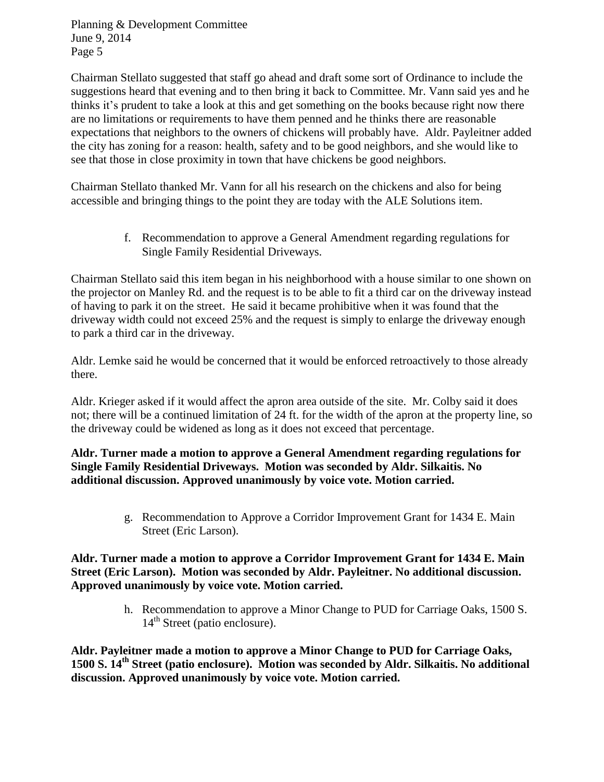Chairman Stellato suggested that staff go ahead and draft some sort of Ordinance to include the suggestions heard that evening and to then bring it back to Committee. Mr. Vann said yes and he thinks it's prudent to take a look at this and get something on the books because right now there are no limitations or requirements to have them penned and he thinks there are reasonable expectations that neighbors to the owners of chickens will probably have. Aldr. Payleitner added the city has zoning for a reason: health, safety and to be good neighbors, and she would like to see that those in close proximity in town that have chickens be good neighbors.

Chairman Stellato thanked Mr. Vann for all his research on the chickens and also for being accessible and bringing things to the point they are today with the ALE Solutions item.

> f. Recommendation to approve a General Amendment regarding regulations for Single Family Residential Driveways.

Chairman Stellato said this item began in his neighborhood with a house similar to one shown on the projector on Manley Rd. and the request is to be able to fit a third car on the driveway instead of having to park it on the street. He said it became prohibitive when it was found that the driveway width could not exceed 25% and the request is simply to enlarge the driveway enough to park a third car in the driveway.

Aldr. Lemke said he would be concerned that it would be enforced retroactively to those already there.

Aldr. Krieger asked if it would affect the apron area outside of the site. Mr. Colby said it does not; there will be a continued limitation of 24 ft. for the width of the apron at the property line, so the driveway could be widened as long as it does not exceed that percentage.

**Aldr. Turner made a motion to approve a General Amendment regarding regulations for Single Family Residential Driveways. Motion was seconded by Aldr. Silkaitis. No additional discussion. Approved unanimously by voice vote. Motion carried.** 

> g. Recommendation to Approve a Corridor Improvement Grant for 1434 E. Main Street (Eric Larson).

**Aldr. Turner made a motion to approve a Corridor Improvement Grant for 1434 E. Main Street (Eric Larson). Motion was seconded by Aldr. Payleitner. No additional discussion. Approved unanimously by voice vote. Motion carried.** 

> h. Recommendation to approve a Minor Change to PUD for Carriage Oaks, 1500 S.  $14<sup>th</sup>$  Street (patio enclosure).

**Aldr. Payleitner made a motion to approve a Minor Change to PUD for Carriage Oaks, 1500 S. 14th Street (patio enclosure). Motion was seconded by Aldr. Silkaitis. No additional discussion. Approved unanimously by voice vote. Motion carried.**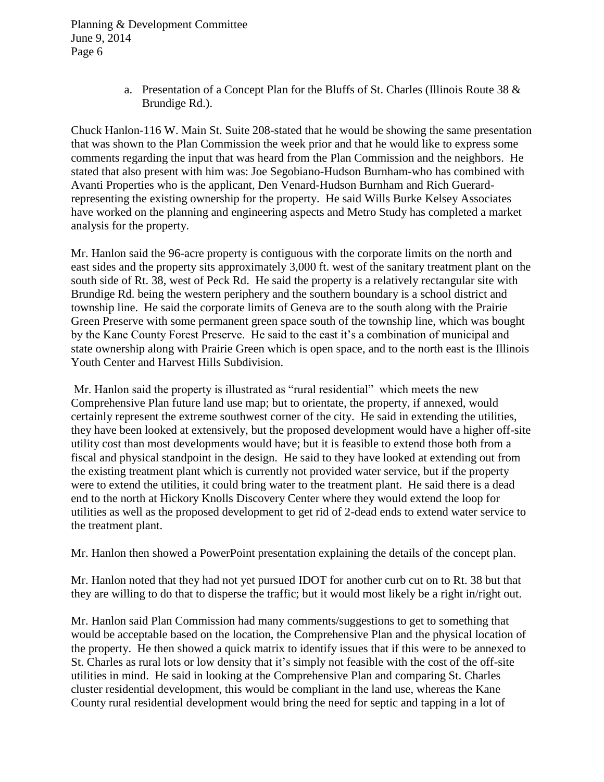> a. Presentation of a Concept Plan for the Bluffs of St. Charles (Illinois Route 38 & Brundige Rd.).

Chuck Hanlon-116 W. Main St. Suite 208-stated that he would be showing the same presentation that was shown to the Plan Commission the week prior and that he would like to express some comments regarding the input that was heard from the Plan Commission and the neighbors. He stated that also present with him was: Joe Segobiano-Hudson Burnham-who has combined with Avanti Properties who is the applicant, Den Venard-Hudson Burnham and Rich Guerardrepresenting the existing ownership for the property. He said Wills Burke Kelsey Associates have worked on the planning and engineering aspects and Metro Study has completed a market analysis for the property.

Mr. Hanlon said the 96-acre property is contiguous with the corporate limits on the north and east sides and the property sits approximately 3,000 ft. west of the sanitary treatment plant on the south side of Rt. 38, west of Peck Rd. He said the property is a relatively rectangular site with Brundige Rd. being the western periphery and the southern boundary is a school district and township line. He said the corporate limits of Geneva are to the south along with the Prairie Green Preserve with some permanent green space south of the township line, which was bought by the Kane County Forest Preserve. He said to the east it's a combination of municipal and state ownership along with Prairie Green which is open space, and to the north east is the Illinois Youth Center and Harvest Hills Subdivision.

Mr. Hanlon said the property is illustrated as "rural residential" which meets the new Comprehensive Plan future land use map; but to orientate, the property, if annexed, would certainly represent the extreme southwest corner of the city. He said in extending the utilities, they have been looked at extensively, but the proposed development would have a higher off-site utility cost than most developments would have; but it is feasible to extend those both from a fiscal and physical standpoint in the design. He said to they have looked at extending out from the existing treatment plant which is currently not provided water service, but if the property were to extend the utilities, it could bring water to the treatment plant. He said there is a dead end to the north at Hickory Knolls Discovery Center where they would extend the loop for utilities as well as the proposed development to get rid of 2-dead ends to extend water service to the treatment plant.

Mr. Hanlon then showed a PowerPoint presentation explaining the details of the concept plan.

Mr. Hanlon noted that they had not yet pursued IDOT for another curb cut on to Rt. 38 but that they are willing to do that to disperse the traffic; but it would most likely be a right in/right out.

Mr. Hanlon said Plan Commission had many comments/suggestions to get to something that would be acceptable based on the location, the Comprehensive Plan and the physical location of the property. He then showed a quick matrix to identify issues that if this were to be annexed to St. Charles as rural lots or low density that it's simply not feasible with the cost of the off-site utilities in mind. He said in looking at the Comprehensive Plan and comparing St. Charles cluster residential development, this would be compliant in the land use, whereas the Kane County rural residential development would bring the need for septic and tapping in a lot of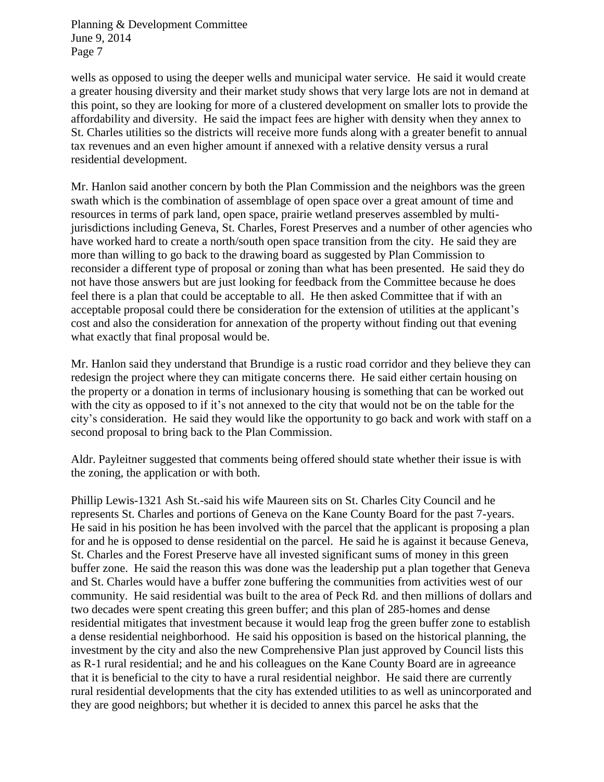wells as opposed to using the deeper wells and municipal water service. He said it would create a greater housing diversity and their market study shows that very large lots are not in demand at this point, so they are looking for more of a clustered development on smaller lots to provide the affordability and diversity. He said the impact fees are higher with density when they annex to St. Charles utilities so the districts will receive more funds along with a greater benefit to annual tax revenues and an even higher amount if annexed with a relative density versus a rural residential development.

Mr. Hanlon said another concern by both the Plan Commission and the neighbors was the green swath which is the combination of assemblage of open space over a great amount of time and resources in terms of park land, open space, prairie wetland preserves assembled by multijurisdictions including Geneva, St. Charles, Forest Preserves and a number of other agencies who have worked hard to create a north/south open space transition from the city. He said they are more than willing to go back to the drawing board as suggested by Plan Commission to reconsider a different type of proposal or zoning than what has been presented. He said they do not have those answers but are just looking for feedback from the Committee because he does feel there is a plan that could be acceptable to all. He then asked Committee that if with an acceptable proposal could there be consideration for the extension of utilities at the applicant's cost and also the consideration for annexation of the property without finding out that evening what exactly that final proposal would be.

Mr. Hanlon said they understand that Brundige is a rustic road corridor and they believe they can redesign the project where they can mitigate concerns there. He said either certain housing on the property or a donation in terms of inclusionary housing is something that can be worked out with the city as opposed to if it's not annexed to the city that would not be on the table for the city's consideration. He said they would like the opportunity to go back and work with staff on a second proposal to bring back to the Plan Commission.

Aldr. Payleitner suggested that comments being offered should state whether their issue is with the zoning, the application or with both.

Phillip Lewis-1321 Ash St.-said his wife Maureen sits on St. Charles City Council and he represents St. Charles and portions of Geneva on the Kane County Board for the past 7-years. He said in his position he has been involved with the parcel that the applicant is proposing a plan for and he is opposed to dense residential on the parcel. He said he is against it because Geneva, St. Charles and the Forest Preserve have all invested significant sums of money in this green buffer zone. He said the reason this was done was the leadership put a plan together that Geneva and St. Charles would have a buffer zone buffering the communities from activities west of our community. He said residential was built to the area of Peck Rd. and then millions of dollars and two decades were spent creating this green buffer; and this plan of 285-homes and dense residential mitigates that investment because it would leap frog the green buffer zone to establish a dense residential neighborhood. He said his opposition is based on the historical planning, the investment by the city and also the new Comprehensive Plan just approved by Council lists this as R-1 rural residential; and he and his colleagues on the Kane County Board are in agreeance that it is beneficial to the city to have a rural residential neighbor. He said there are currently rural residential developments that the city has extended utilities to as well as unincorporated and they are good neighbors; but whether it is decided to annex this parcel he asks that the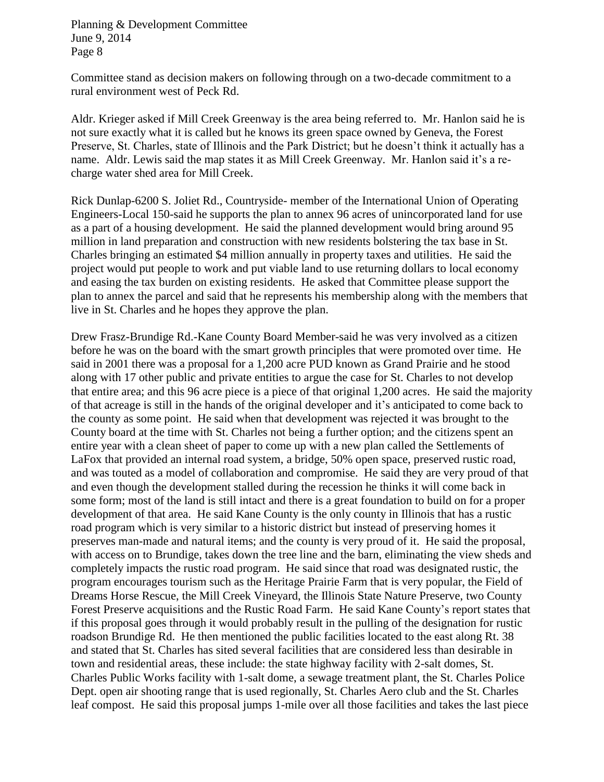Committee stand as decision makers on following through on a two-decade commitment to a rural environment west of Peck Rd.

Aldr. Krieger asked if Mill Creek Greenway is the area being referred to. Mr. Hanlon said he is not sure exactly what it is called but he knows its green space owned by Geneva, the Forest Preserve, St. Charles, state of Illinois and the Park District; but he doesn't think it actually has a name. Aldr. Lewis said the map states it as Mill Creek Greenway. Mr. Hanlon said it's a recharge water shed area for Mill Creek.

Rick Dunlap-6200 S. Joliet Rd., Countryside- member of the International Union of Operating Engineers-Local 150-said he supports the plan to annex 96 acres of unincorporated land for use as a part of a housing development. He said the planned development would bring around 95 million in land preparation and construction with new residents bolstering the tax base in St. Charles bringing an estimated \$4 million annually in property taxes and utilities. He said the project would put people to work and put viable land to use returning dollars to local economy and easing the tax burden on existing residents. He asked that Committee please support the plan to annex the parcel and said that he represents his membership along with the members that live in St. Charles and he hopes they approve the plan.

Drew Frasz-Brundige Rd.-Kane County Board Member-said he was very involved as a citizen before he was on the board with the smart growth principles that were promoted over time. He said in 2001 there was a proposal for a 1,200 acre PUD known as Grand Prairie and he stood along with 17 other public and private entities to argue the case for St. Charles to not develop that entire area; and this 96 acre piece is a piece of that original 1,200 acres. He said the majority of that acreage is still in the hands of the original developer and it's anticipated to come back to the county as some point. He said when that development was rejected it was brought to the County board at the time with St. Charles not being a further option; and the citizens spent an entire year with a clean sheet of paper to come up with a new plan called the Settlements of LaFox that provided an internal road system, a bridge, 50% open space, preserved rustic road, and was touted as a model of collaboration and compromise. He said they are very proud of that and even though the development stalled during the recession he thinks it will come back in some form; most of the land is still intact and there is a great foundation to build on for a proper development of that area. He said Kane County is the only county in Illinois that has a rustic road program which is very similar to a historic district but instead of preserving homes it preserves man-made and natural items; and the county is very proud of it. He said the proposal, with access on to Brundige, takes down the tree line and the barn, eliminating the view sheds and completely impacts the rustic road program. He said since that road was designated rustic, the program encourages tourism such as the Heritage Prairie Farm that is very popular, the Field of Dreams Horse Rescue, the Mill Creek Vineyard, the Illinois State Nature Preserve, two County Forest Preserve acquisitions and the Rustic Road Farm. He said Kane County's report states that if this proposal goes through it would probably result in the pulling of the designation for rustic roadson Brundige Rd. He then mentioned the public facilities located to the east along Rt. 38 and stated that St. Charles has sited several facilities that are considered less than desirable in town and residential areas, these include: the state highway facility with 2-salt domes, St. Charles Public Works facility with 1-salt dome, a sewage treatment plant, the St. Charles Police Dept. open air shooting range that is used regionally, St. Charles Aero club and the St. Charles leaf compost. He said this proposal jumps 1-mile over all those facilities and takes the last piece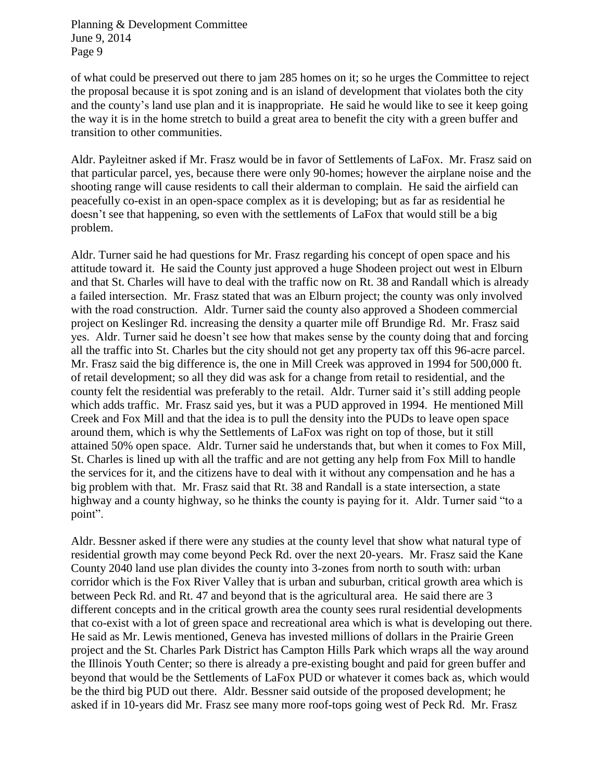of what could be preserved out there to jam 285 homes on it; so he urges the Committee to reject the proposal because it is spot zoning and is an island of development that violates both the city and the county's land use plan and it is inappropriate. He said he would like to see it keep going the way it is in the home stretch to build a great area to benefit the city with a green buffer and transition to other communities.

Aldr. Payleitner asked if Mr. Frasz would be in favor of Settlements of LaFox. Mr. Frasz said on that particular parcel, yes, because there were only 90-homes; however the airplane noise and the shooting range will cause residents to call their alderman to complain. He said the airfield can peacefully co-exist in an open-space complex as it is developing; but as far as residential he doesn't see that happening, so even with the settlements of LaFox that would still be a big problem.

Aldr. Turner said he had questions for Mr. Frasz regarding his concept of open space and his attitude toward it. He said the County just approved a huge Shodeen project out west in Elburn and that St. Charles will have to deal with the traffic now on Rt. 38 and Randall which is already a failed intersection. Mr. Frasz stated that was an Elburn project; the county was only involved with the road construction. Aldr. Turner said the county also approved a Shodeen commercial project on Keslinger Rd. increasing the density a quarter mile off Brundige Rd. Mr. Frasz said yes. Aldr. Turner said he doesn't see how that makes sense by the county doing that and forcing all the traffic into St. Charles but the city should not get any property tax off this 96-acre parcel. Mr. Frasz said the big difference is, the one in Mill Creek was approved in 1994 for 500,000 ft. of retail development; so all they did was ask for a change from retail to residential, and the county felt the residential was preferably to the retail. Aldr. Turner said it's still adding people which adds traffic. Mr. Frasz said yes, but it was a PUD approved in 1994. He mentioned Mill Creek and Fox Mill and that the idea is to pull the density into the PUDs to leave open space around them, which is why the Settlements of LaFox was right on top of those, but it still attained 50% open space. Aldr. Turner said he understands that, but when it comes to Fox Mill, St. Charles is lined up with all the traffic and are not getting any help from Fox Mill to handle the services for it, and the citizens have to deal with it without any compensation and he has a big problem with that. Mr. Frasz said that Rt. 38 and Randall is a state intersection, a state highway and a county highway, so he thinks the county is paying for it. Aldr. Turner said "to a point".

Aldr. Bessner asked if there were any studies at the county level that show what natural type of residential growth may come beyond Peck Rd. over the next 20-years. Mr. Frasz said the Kane County 2040 land use plan divides the county into 3-zones from north to south with: urban corridor which is the Fox River Valley that is urban and suburban, critical growth area which is between Peck Rd. and Rt. 47 and beyond that is the agricultural area. He said there are 3 different concepts and in the critical growth area the county sees rural residential developments that co-exist with a lot of green space and recreational area which is what is developing out there. He said as Mr. Lewis mentioned, Geneva has invested millions of dollars in the Prairie Green project and the St. Charles Park District has Campton Hills Park which wraps all the way around the Illinois Youth Center; so there is already a pre-existing bought and paid for green buffer and beyond that would be the Settlements of LaFox PUD or whatever it comes back as, which would be the third big PUD out there. Aldr. Bessner said outside of the proposed development; he asked if in 10-years did Mr. Frasz see many more roof-tops going west of Peck Rd. Mr. Frasz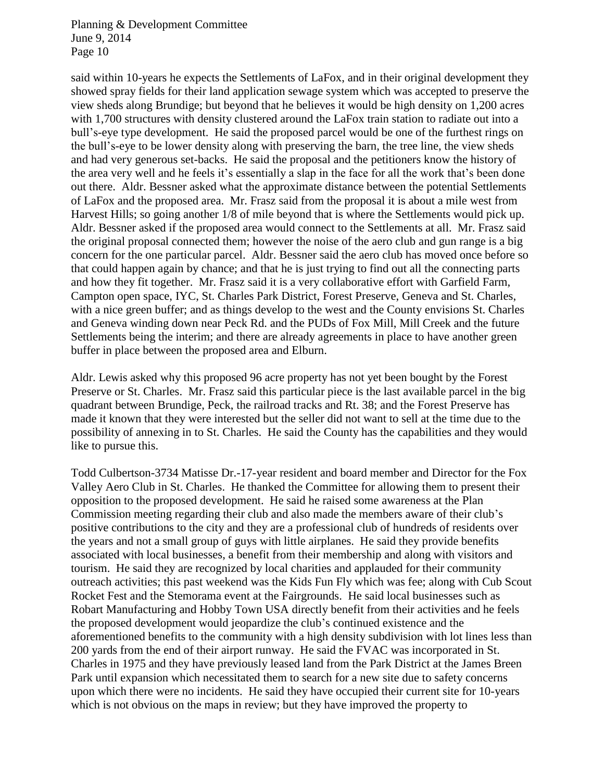said within 10-years he expects the Settlements of LaFox, and in their original development they showed spray fields for their land application sewage system which was accepted to preserve the view sheds along Brundige; but beyond that he believes it would be high density on 1,200 acres with 1,700 structures with density clustered around the LaFox train station to radiate out into a bull's-eye type development. He said the proposed parcel would be one of the furthest rings on the bull's-eye to be lower density along with preserving the barn, the tree line, the view sheds and had very generous set-backs. He said the proposal and the petitioners know the history of the area very well and he feels it's essentially a slap in the face for all the work that's been done out there. Aldr. Bessner asked what the approximate distance between the potential Settlements of LaFox and the proposed area. Mr. Frasz said from the proposal it is about a mile west from Harvest Hills; so going another 1/8 of mile beyond that is where the Settlements would pick up. Aldr. Bessner asked if the proposed area would connect to the Settlements at all. Mr. Frasz said the original proposal connected them; however the noise of the aero club and gun range is a big concern for the one particular parcel. Aldr. Bessner said the aero club has moved once before so that could happen again by chance; and that he is just trying to find out all the connecting parts and how they fit together. Mr. Frasz said it is a very collaborative effort with Garfield Farm, Campton open space, IYC, St. Charles Park District, Forest Preserve, Geneva and St. Charles, with a nice green buffer; and as things develop to the west and the County envisions St. Charles and Geneva winding down near Peck Rd. and the PUDs of Fox Mill, Mill Creek and the future Settlements being the interim; and there are already agreements in place to have another green buffer in place between the proposed area and Elburn.

Aldr. Lewis asked why this proposed 96 acre property has not yet been bought by the Forest Preserve or St. Charles. Mr. Frasz said this particular piece is the last available parcel in the big quadrant between Brundige, Peck, the railroad tracks and Rt. 38; and the Forest Preserve has made it known that they were interested but the seller did not want to sell at the time due to the possibility of annexing in to St. Charles. He said the County has the capabilities and they would like to pursue this.

Todd Culbertson-3734 Matisse Dr.-17-year resident and board member and Director for the Fox Valley Aero Club in St. Charles. He thanked the Committee for allowing them to present their opposition to the proposed development. He said he raised some awareness at the Plan Commission meeting regarding their club and also made the members aware of their club's positive contributions to the city and they are a professional club of hundreds of residents over the years and not a small group of guys with little airplanes. He said they provide benefits associated with local businesses, a benefit from their membership and along with visitors and tourism. He said they are recognized by local charities and applauded for their community outreach activities; this past weekend was the Kids Fun Fly which was fee; along with Cub Scout Rocket Fest and the Stemorama event at the Fairgrounds. He said local businesses such as Robart Manufacturing and Hobby Town USA directly benefit from their activities and he feels the proposed development would jeopardize the club's continued existence and the aforementioned benefits to the community with a high density subdivision with lot lines less than 200 yards from the end of their airport runway. He said the FVAC was incorporated in St. Charles in 1975 and they have previously leased land from the Park District at the James Breen Park until expansion which necessitated them to search for a new site due to safety concerns upon which there were no incidents. He said they have occupied their current site for 10-years which is not obvious on the maps in review; but they have improved the property to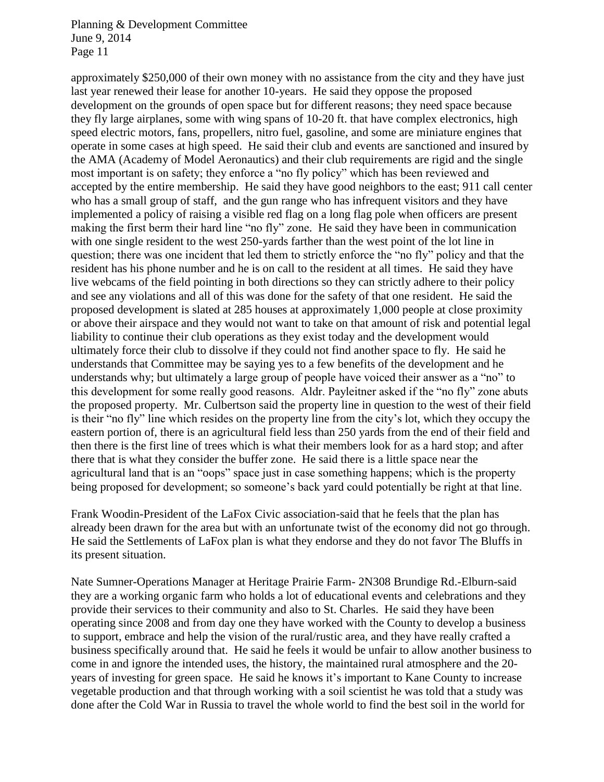approximately \$250,000 of their own money with no assistance from the city and they have just last year renewed their lease for another 10-years. He said they oppose the proposed development on the grounds of open space but for different reasons; they need space because they fly large airplanes, some with wing spans of 10-20 ft. that have complex electronics, high speed electric motors, fans, propellers, nitro fuel, gasoline, and some are miniature engines that operate in some cases at high speed. He said their club and events are sanctioned and insured by the AMA (Academy of Model Aeronautics) and their club requirements are rigid and the single most important is on safety; they enforce a "no fly policy" which has been reviewed and accepted by the entire membership. He said they have good neighbors to the east; 911 call center who has a small group of staff, and the gun range who has infrequent visitors and they have implemented a policy of raising a visible red flag on a long flag pole when officers are present making the first berm their hard line "no fly" zone. He said they have been in communication with one single resident to the west 250-yards farther than the west point of the lot line in question; there was one incident that led them to strictly enforce the "no fly" policy and that the resident has his phone number and he is on call to the resident at all times. He said they have live webcams of the field pointing in both directions so they can strictly adhere to their policy and see any violations and all of this was done for the safety of that one resident. He said the proposed development is slated at 285 houses at approximately 1,000 people at close proximity or above their airspace and they would not want to take on that amount of risk and potential legal liability to continue their club operations as they exist today and the development would ultimately force their club to dissolve if they could not find another space to fly. He said he understands that Committee may be saying yes to a few benefits of the development and he understands why; but ultimately a large group of people have voiced their answer as a "no" to this development for some really good reasons. Aldr. Payleitner asked if the "no fly" zone abuts the proposed property. Mr. Culbertson said the property line in question to the west of their field is their "no fly" line which resides on the property line from the city's lot, which they occupy the eastern portion of, there is an agricultural field less than 250 yards from the end of their field and then there is the first line of trees which is what their members look for as a hard stop; and after there that is what they consider the buffer zone. He said there is a little space near the agricultural land that is an "oops" space just in case something happens; which is the property being proposed for development; so someone's back yard could potentially be right at that line.

Frank Woodin-President of the LaFox Civic association-said that he feels that the plan has already been drawn for the area but with an unfortunate twist of the economy did not go through. He said the Settlements of LaFox plan is what they endorse and they do not favor The Bluffs in its present situation.

Nate Sumner-Operations Manager at Heritage Prairie Farm- 2N308 Brundige Rd.-Elburn-said they are a working organic farm who holds a lot of educational events and celebrations and they provide their services to their community and also to St. Charles. He said they have been operating since 2008 and from day one they have worked with the County to develop a business to support, embrace and help the vision of the rural/rustic area, and they have really crafted a business specifically around that. He said he feels it would be unfair to allow another business to come in and ignore the intended uses, the history, the maintained rural atmosphere and the 20 years of investing for green space. He said he knows it's important to Kane County to increase vegetable production and that through working with a soil scientist he was told that a study was done after the Cold War in Russia to travel the whole world to find the best soil in the world for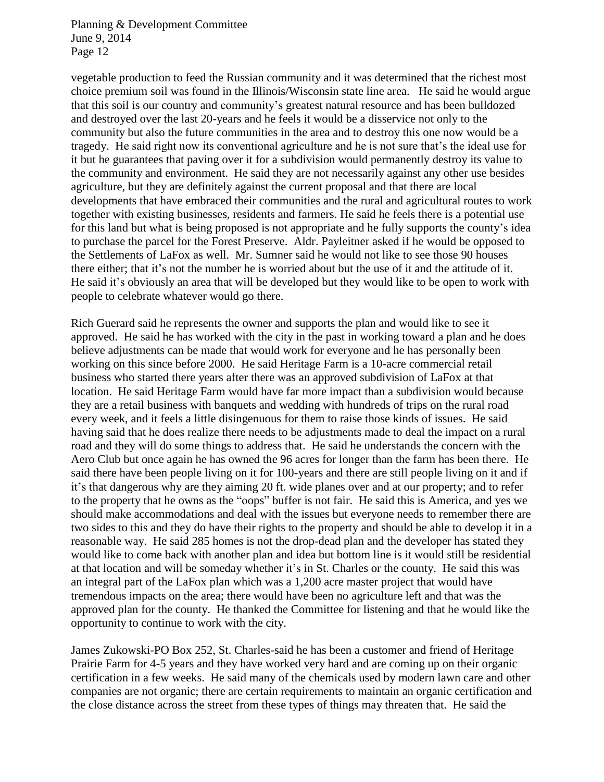vegetable production to feed the Russian community and it was determined that the richest most choice premium soil was found in the Illinois/Wisconsin state line area. He said he would argue that this soil is our country and community's greatest natural resource and has been bulldozed and destroyed over the last 20-years and he feels it would be a disservice not only to the community but also the future communities in the area and to destroy this one now would be a tragedy. He said right now its conventional agriculture and he is not sure that's the ideal use for it but he guarantees that paving over it for a subdivision would permanently destroy its value to the community and environment. He said they are not necessarily against any other use besides agriculture, but they are definitely against the current proposal and that there are local developments that have embraced their communities and the rural and agricultural routes to work together with existing businesses, residents and farmers. He said he feels there is a potential use for this land but what is being proposed is not appropriate and he fully supports the county's idea to purchase the parcel for the Forest Preserve. Aldr. Payleitner asked if he would be opposed to the Settlements of LaFox as well. Mr. Sumner said he would not like to see those 90 houses there either; that it's not the number he is worried about but the use of it and the attitude of it. He said it's obviously an area that will be developed but they would like to be open to work with people to celebrate whatever would go there.

Rich Guerard said he represents the owner and supports the plan and would like to see it approved. He said he has worked with the city in the past in working toward a plan and he does believe adjustments can be made that would work for everyone and he has personally been working on this since before 2000. He said Heritage Farm is a 10-acre commercial retail business who started there years after there was an approved subdivision of LaFox at that location. He said Heritage Farm would have far more impact than a subdivision would because they are a retail business with banquets and wedding with hundreds of trips on the rural road every week, and it feels a little disingenuous for them to raise those kinds of issues. He said having said that he does realize there needs to be adjustments made to deal the impact on a rural road and they will do some things to address that. He said he understands the concern with the Aero Club but once again he has owned the 96 acres for longer than the farm has been there. He said there have been people living on it for 100-years and there are still people living on it and if it's that dangerous why are they aiming 20 ft. wide planes over and at our property; and to refer to the property that he owns as the "oops" buffer is not fair. He said this is America, and yes we should make accommodations and deal with the issues but everyone needs to remember there are two sides to this and they do have their rights to the property and should be able to develop it in a reasonable way. He said 285 homes is not the drop-dead plan and the developer has stated they would like to come back with another plan and idea but bottom line is it would still be residential at that location and will be someday whether it's in St. Charles or the county. He said this was an integral part of the LaFox plan which was a 1,200 acre master project that would have tremendous impacts on the area; there would have been no agriculture left and that was the approved plan for the county. He thanked the Committee for listening and that he would like the opportunity to continue to work with the city.

James Zukowski-PO Box 252, St. Charles-said he has been a customer and friend of Heritage Prairie Farm for 4-5 years and they have worked very hard and are coming up on their organic certification in a few weeks. He said many of the chemicals used by modern lawn care and other companies are not organic; there are certain requirements to maintain an organic certification and the close distance across the street from these types of things may threaten that. He said the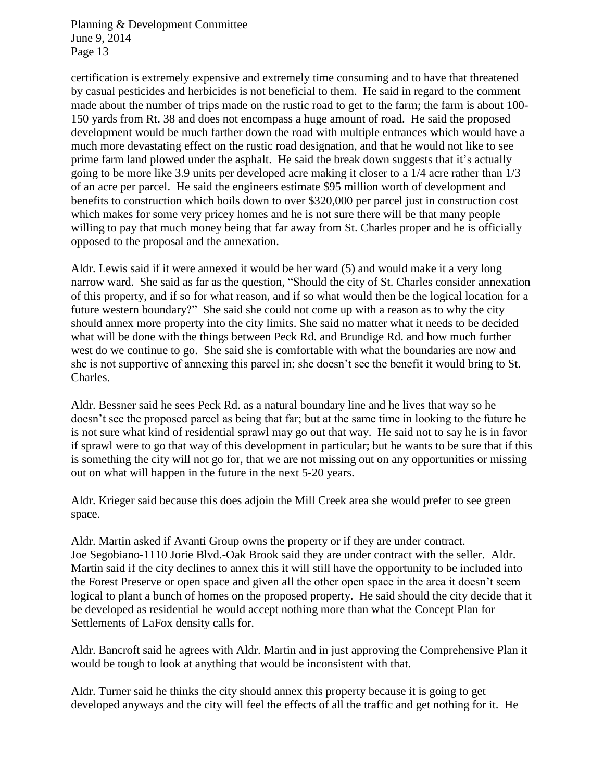certification is extremely expensive and extremely time consuming and to have that threatened by casual pesticides and herbicides is not beneficial to them. He said in regard to the comment made about the number of trips made on the rustic road to get to the farm; the farm is about 100- 150 yards from Rt. 38 and does not encompass a huge amount of road. He said the proposed development would be much farther down the road with multiple entrances which would have a much more devastating effect on the rustic road designation, and that he would not like to see prime farm land plowed under the asphalt. He said the break down suggests that it's actually going to be more like 3.9 units per developed acre making it closer to a 1/4 acre rather than 1/3 of an acre per parcel. He said the engineers estimate \$95 million worth of development and benefits to construction which boils down to over \$320,000 per parcel just in construction cost which makes for some very pricey homes and he is not sure there will be that many people willing to pay that much money being that far away from St. Charles proper and he is officially opposed to the proposal and the annexation.

Aldr. Lewis said if it were annexed it would be her ward (5) and would make it a very long narrow ward. She said as far as the question, "Should the city of St. Charles consider annexation of this property, and if so for what reason, and if so what would then be the logical location for a future western boundary?" She said she could not come up with a reason as to why the city should annex more property into the city limits. She said no matter what it needs to be decided what will be done with the things between Peck Rd. and Brundige Rd. and how much further west do we continue to go. She said she is comfortable with what the boundaries are now and she is not supportive of annexing this parcel in; she doesn't see the benefit it would bring to St. Charles.

Aldr. Bessner said he sees Peck Rd. as a natural boundary line and he lives that way so he doesn't see the proposed parcel as being that far; but at the same time in looking to the future he is not sure what kind of residential sprawl may go out that way. He said not to say he is in favor if sprawl were to go that way of this development in particular; but he wants to be sure that if this is something the city will not go for, that we are not missing out on any opportunities or missing out on what will happen in the future in the next 5-20 years.

Aldr. Krieger said because this does adjoin the Mill Creek area she would prefer to see green space.

Aldr. Martin asked if Avanti Group owns the property or if they are under contract. Joe Segobiano-1110 Jorie Blvd.-Oak Brook said they are under contract with the seller. Aldr. Martin said if the city declines to annex this it will still have the opportunity to be included into the Forest Preserve or open space and given all the other open space in the area it doesn't seem logical to plant a bunch of homes on the proposed property. He said should the city decide that it be developed as residential he would accept nothing more than what the Concept Plan for Settlements of LaFox density calls for.

Aldr. Bancroft said he agrees with Aldr. Martin and in just approving the Comprehensive Plan it would be tough to look at anything that would be inconsistent with that.

Aldr. Turner said he thinks the city should annex this property because it is going to get developed anyways and the city will feel the effects of all the traffic and get nothing for it. He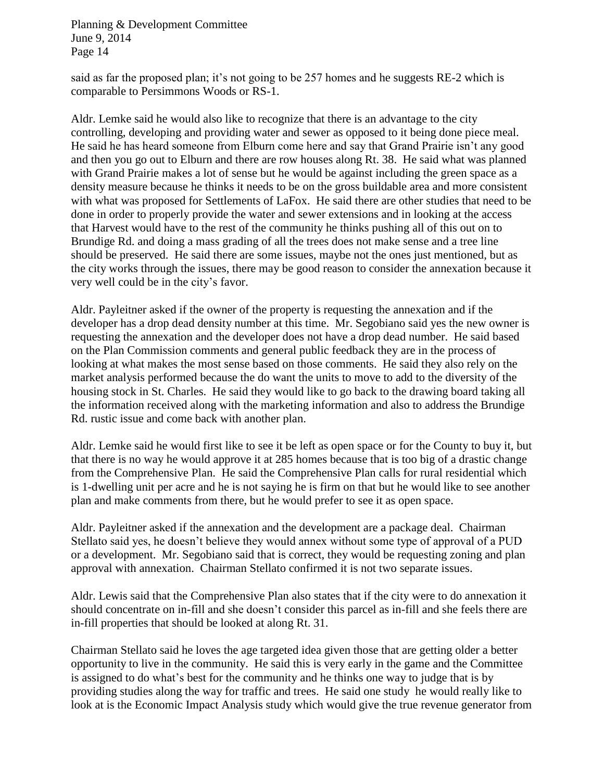said as far the proposed plan; it's not going to be 257 homes and he suggests RE-2 which is comparable to Persimmons Woods or RS-1.

Aldr. Lemke said he would also like to recognize that there is an advantage to the city controlling, developing and providing water and sewer as opposed to it being done piece meal. He said he has heard someone from Elburn come here and say that Grand Prairie isn't any good and then you go out to Elburn and there are row houses along Rt. 38. He said what was planned with Grand Prairie makes a lot of sense but he would be against including the green space as a density measure because he thinks it needs to be on the gross buildable area and more consistent with what was proposed for Settlements of LaFox. He said there are other studies that need to be done in order to properly provide the water and sewer extensions and in looking at the access that Harvest would have to the rest of the community he thinks pushing all of this out on to Brundige Rd. and doing a mass grading of all the trees does not make sense and a tree line should be preserved. He said there are some issues, maybe not the ones just mentioned, but as the city works through the issues, there may be good reason to consider the annexation because it very well could be in the city's favor.

Aldr. Payleitner asked if the owner of the property is requesting the annexation and if the developer has a drop dead density number at this time. Mr. Segobiano said yes the new owner is requesting the annexation and the developer does not have a drop dead number. He said based on the Plan Commission comments and general public feedback they are in the process of looking at what makes the most sense based on those comments. He said they also rely on the market analysis performed because the do want the units to move to add to the diversity of the housing stock in St. Charles. He said they would like to go back to the drawing board taking all the information received along with the marketing information and also to address the Brundige Rd. rustic issue and come back with another plan.

Aldr. Lemke said he would first like to see it be left as open space or for the County to buy it, but that there is no way he would approve it at 285 homes because that is too big of a drastic change from the Comprehensive Plan. He said the Comprehensive Plan calls for rural residential which is 1-dwelling unit per acre and he is not saying he is firm on that but he would like to see another plan and make comments from there, but he would prefer to see it as open space.

Aldr. Payleitner asked if the annexation and the development are a package deal. Chairman Stellato said yes, he doesn't believe they would annex without some type of approval of a PUD or a development. Mr. Segobiano said that is correct, they would be requesting zoning and plan approval with annexation. Chairman Stellato confirmed it is not two separate issues.

Aldr. Lewis said that the Comprehensive Plan also states that if the city were to do annexation it should concentrate on in-fill and she doesn't consider this parcel as in-fill and she feels there are in-fill properties that should be looked at along Rt. 31.

Chairman Stellato said he loves the age targeted idea given those that are getting older a better opportunity to live in the community. He said this is very early in the game and the Committee is assigned to do what's best for the community and he thinks one way to judge that is by providing studies along the way for traffic and trees. He said one study he would really like to look at is the Economic Impact Analysis study which would give the true revenue generator from